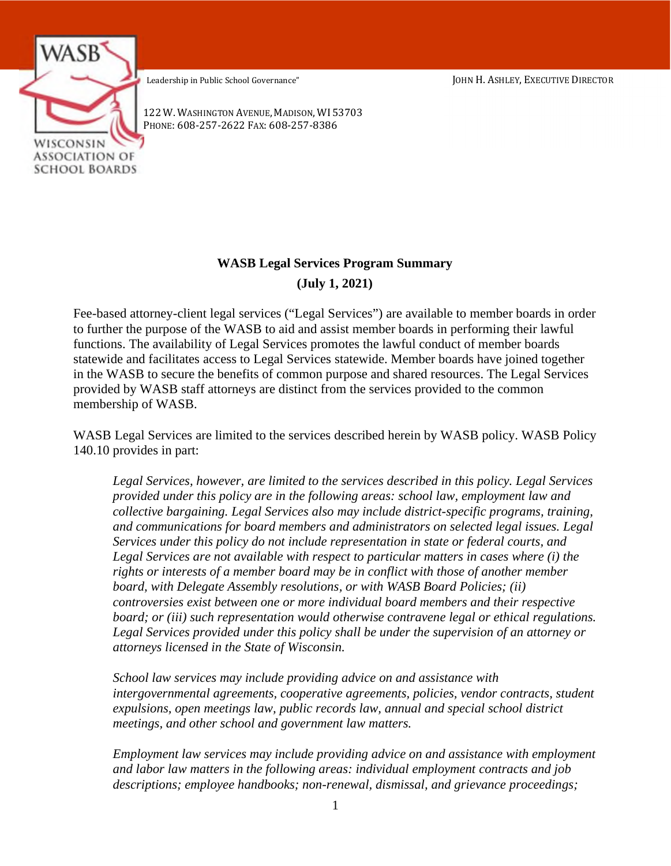Leadership in Public School Governance" JOHN H. ASHLEY, EXECUTIVE DIRECTOR



PHONE: 608-257-2622 FAX: 608-257-8386 122 W. WASHINGTON AVENUE, MADISON, WI 53703

# **WASB Legal Services Program Summary (July 1, 2021)**

Fee-based attorney-client legal services ("Legal Services") are available to member boards in order to further the purpose of the WASB to aid and assist member boards in performing their lawful functions. The availability of Legal Services promotes the lawful conduct of member boards statewide and facilitates access to Legal Services statewide. Member boards have joined together in the WASB to secure the benefits of common purpose and shared resources. The Legal Services provided by WASB staff attorneys are distinct from the services provided to the common membership of WASB.

WASB Legal Services are limited to the services described herein by WASB policy. WASB Policy 140.10 provides in part:

*Legal Services, however, are limited to the services described in this policy. Legal Services provided under this policy are in the following areas: school law, employment law and collective bargaining. Legal Services also may include district-specific programs, training, and communications for board members and administrators on selected legal issues. Legal Services under this policy do not include representation in state or federal courts, and Legal Services are not available with respect to particular matters in cases where (i) the rights or interests of a member board may be in conflict with those of another member board, with Delegate Assembly resolutions, or with WASB Board Policies; (ii) controversies exist between one or more individual board members and their respective board; or (iii) such representation would otherwise contravene legal or ethical regulations. Legal Services provided under this policy shall be under the supervision of an attorney or attorneys licensed in the State of Wisconsin.* 

*School law services may include providing advice on and assistance with intergovernmental agreements, cooperative agreements, policies, vendor contracts, student expulsions, open meetings law, public records law, annual and special school district meetings, and other school and government law matters.* 

*Employment law services may include providing advice on and assistance with employment and labor law matters in the following areas: individual employment contracts and job descriptions; employee handbooks; non-renewal, dismissal, and grievance proceedings;*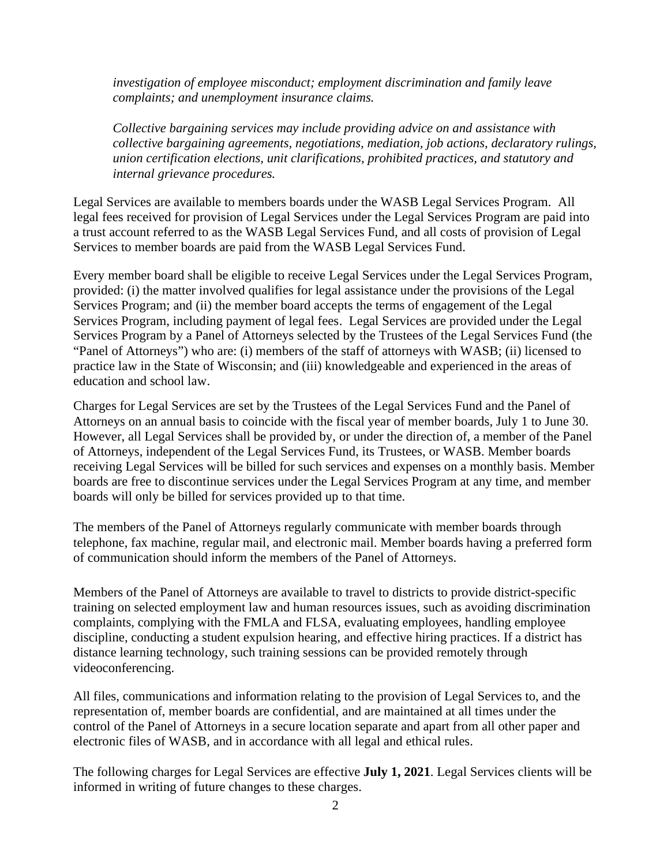*investigation of employee misconduct; employment discrimination and family leave complaints; and unemployment insurance claims.* 

*Collective bargaining services may include providing advice on and assistance with collective bargaining agreements, negotiations, mediation, job actions, declaratory rulings, union certification elections, unit clarifications, prohibited practices, and statutory and internal grievance procedures.* 

Legal Services are available to members boards under the WASB Legal Services Program. All legal fees received for provision of Legal Services under the Legal Services Program are paid into a trust account referred to as the WASB Legal Services Fund, and all costs of provision of Legal Services to member boards are paid from the WASB Legal Services Fund.

Every member board shall be eligible to receive Legal Services under the Legal Services Program, provided: (i) the matter involved qualifies for legal assistance under the provisions of the Legal Services Program; and (ii) the member board accepts the terms of engagement of the Legal Services Program, including payment of legal fees. Legal Services are provided under the Legal Services Program by a Panel of Attorneys selected by the Trustees of the Legal Services Fund (the "Panel of Attorneys") who are: (i) members of the staff of attorneys with WASB; (ii) licensed to practice law in the State of Wisconsin; and (iii) knowledgeable and experienced in the areas of education and school law.

Charges for Legal Services are set by the Trustees of the Legal Services Fund and the Panel of Attorneys on an annual basis to coincide with the fiscal year of member boards, July 1 to June 30. However, all Legal Services shall be provided by, or under the direction of, a member of the Panel of Attorneys, independent of the Legal Services Fund, its Trustees, or WASB. Member boards receiving Legal Services will be billed for such services and expenses on a monthly basis. Member boards are free to discontinue services under the Legal Services Program at any time, and member boards will only be billed for services provided up to that time.

The members of the Panel of Attorneys regularly communicate with member boards through telephone, fax machine, regular mail, and electronic mail. Member boards having a preferred form of communication should inform the members of the Panel of Attorneys.

Members of the Panel of Attorneys are available to travel to districts to provide district-specific training on selected employment law and human resources issues, such as avoiding discrimination complaints, complying with the FMLA and FLSA, evaluating employees, handling employee discipline, conducting a student expulsion hearing, and effective hiring practices. If a district has distance learning technology, such training sessions can be provided remotely through videoconferencing.

All files, communications and information relating to the provision of Legal Services to, and the representation of, member boards are confidential, and are maintained at all times under the control of the Panel of Attorneys in a secure location separate and apart from all other paper and electronic files of WASB, and in accordance with all legal and ethical rules.

The following charges for Legal Services are effective **July 1, 2021**. Legal Services clients will be informed in writing of future changes to these charges.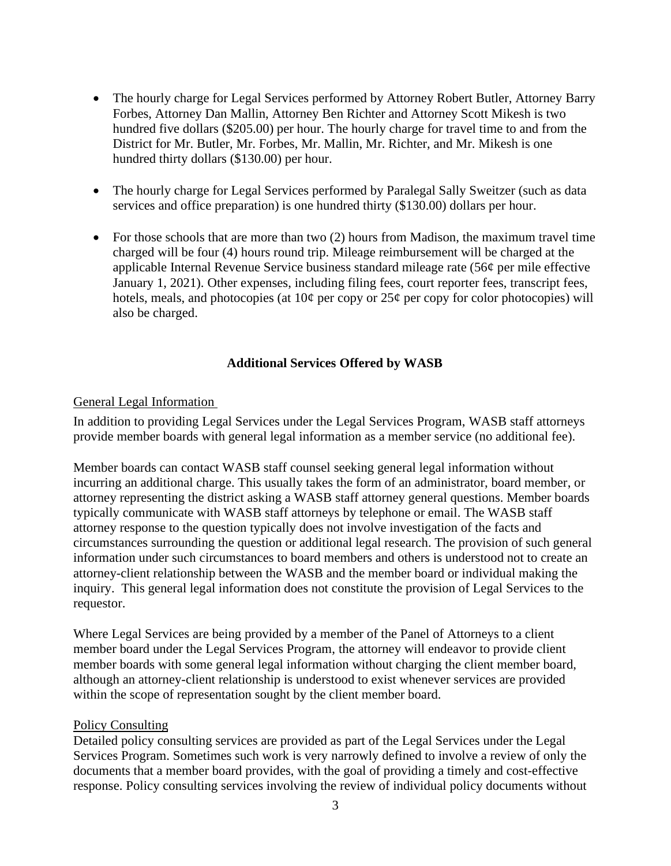- The hourly charge for Legal Services performed by Attorney Robert Butler, Attorney Barry Forbes, Attorney Dan Mallin, Attorney Ben Richter and Attorney Scott Mikesh is two hundred five dollars (\$205.00) per hour. The hourly charge for travel time to and from the District for Mr. Butler, Mr. Forbes, Mr. Mallin, Mr. Richter, and Mr. Mikesh is one hundred thirty dollars (\$130.00) per hour.
- The hourly charge for Legal Services performed by Paralegal Sally Sweitzer (such as data services and office preparation) is one hundred thirty (\$130.00) dollars per hour.
- For those schools that are more than two  $(2)$  hours from Madison, the maximum travel time charged will be four (4) hours round trip. Mileage reimbursement will be charged at the applicable Internal Revenue Service business standard mileage rate (56¢ per mile effective January 1, 2021). Other expenses, including filing fees, court reporter fees, transcript fees, hotels, meals, and photocopies (at  $10¢$  per copy or  $25¢$  per copy for color photocopies) will also be charged.

## **Additional Services Offered by WASB**

### General Legal Information

In addition to providing Legal Services under the Legal Services Program, WASB staff attorneys provide member boards with general legal information as a member service (no additional fee).

Member boards can contact WASB staff counsel seeking general legal information without incurring an additional charge. This usually takes the form of an administrator, board member, or attorney representing the district asking a WASB staff attorney general questions. Member boards typically communicate with WASB staff attorneys by telephone or email. The WASB staff attorney response to the question typically does not involve investigation of the facts and circumstances surrounding the question or additional legal research. The provision of such general information under such circumstances to board members and others is understood not to create an attorney-client relationship between the WASB and the member board or individual making the inquiry. This general legal information does not constitute the provision of Legal Services to the requestor.

Where Legal Services are being provided by a member of the Panel of Attorneys to a client member board under the Legal Services Program, the attorney will endeavor to provide client member boards with some general legal information without charging the client member board, although an attorney-client relationship is understood to exist whenever services are provided within the scope of representation sought by the client member board.

#### Policy Consulting

Detailed policy consulting services are provided as part of the Legal Services under the Legal Services Program. Sometimes such work is very narrowly defined to involve a review of only the documents that a member board provides, with the goal of providing a timely and cost-effective response. Policy consulting services involving the review of individual policy documents without